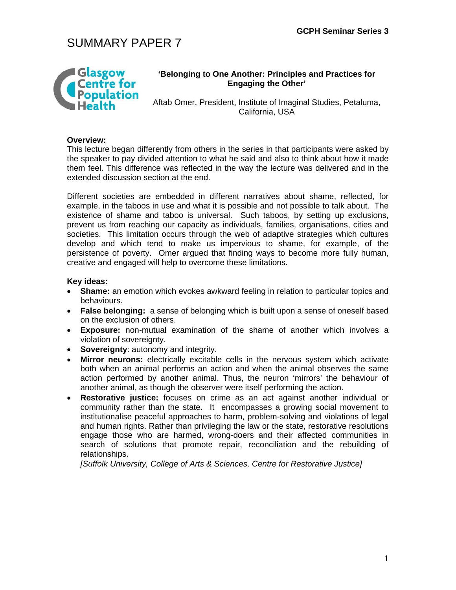

### **'Belonging to One Another: Principles and Practices for Engaging the Other'**

Aftab Omer, President, Institute of Imaginal Studies, Petaluma, California, USA

### **Overview:**

This lecture began differently from others in the series in that participants were asked by the speaker to pay divided attention to what he said and also to think about how it made them feel. This difference was reflected in the way the lecture was delivered and in the extended discussion section at the end.

Different societies are embedded in different narratives about shame, reflected, for example, in the taboos in use and what it is possible and not possible to talk about. The existence of shame and taboo is universal. Such taboos, by setting up exclusions, prevent us from reaching our capacity as individuals, families, organisations, cities and societies. This limitation occurs through the web of adaptive strategies which cultures develop and which tend to make us impervious to shame, for example, of the persistence of poverty. Omer argued that finding ways to become more fully human, creative and engaged will help to overcome these limitations.

### **Key ideas:**

- **Shame:** an emotion which evokes awkward feeling in relation to particular topics and behaviours.
- **False belonging:** a sense of belonging which is built upon a sense of oneself based on the exclusion of others.
- **Exposure:** non-mutual examination of the shame of another which involves a violation of sovereignty.
- **Sovereignty**: autonomy and integrity.
- **Mirror neurons:** electrically excitable cells in the nervous system which activate both when an animal performs an action and when the animal observes the same action performed by another animal. Thus, the neuron 'mirrors' the behaviour of another animal, as though the observer were itself performing the action.
- **Restorative justice:** focuses on crime as an act against another individual or community rather than the state. It encompasses a growing social movement to institutionalise peaceful approaches to harm, problem-solving and violations of legal and human rights. Rather than privileging the law or the state, restorative resolutions engage those who are harmed, wrong-doers and their affected communities in search of solutions that promote repair, reconciliation and the rebuilding of relationships.

*[Suffolk University, College of Arts & Sciences, Centre for Restorative Justice]*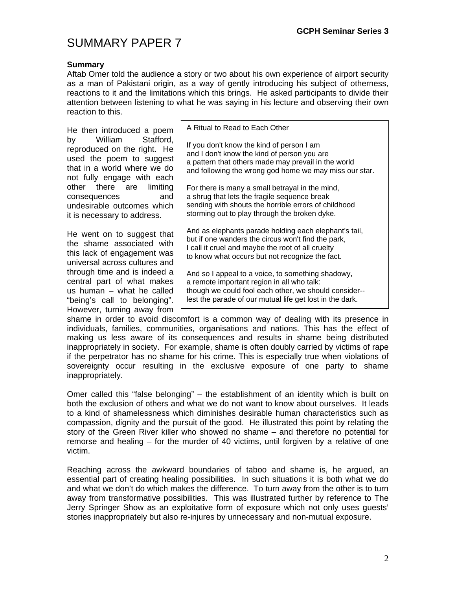### **Summary**

Aftab Omer told the audience a story or two about his own experience of airport security as a man of Pakistani origin, as a way of gently introducing his subject of otherness, reactions to it and the limitations which this brings. He asked participants to divide their attention between listening to what he was saying in his lecture and observing their own reaction to this.

| He then introduced a poem                                                                                                                    | A Ritual to Read to Each Other                                                                                                                                                                                       |
|----------------------------------------------------------------------------------------------------------------------------------------------|----------------------------------------------------------------------------------------------------------------------------------------------------------------------------------------------------------------------|
| by William Stafford,<br>reproduced on the right. He<br>used the poem to suggest<br>that in a world where we do<br>not fully engage with each | If you don't know the kind of person I am<br>and I don't know the kind of person you are<br>a pattern that others made may prevail in the world<br>and following the wrong god home we may miss our star.            |
| other there are limiting<br>consequences<br>and<br>undesirable outcomes which<br>it is necessary to address.                                 | For there is many a small betrayal in the mind,<br>a shrug that lets the fragile sequence break<br>sending with shouts the horrible errors of childhood<br>storming out to play through the broken dyke.             |
| He went on to suggest that<br>the shame associated with<br>this lack of engagement was<br>universal across cultures and                      | And as elephants parade holding each elephant's tail,<br>but if one wanders the circus won't find the park,<br>I call it cruel and maybe the root of all cruelty<br>to know what occurs but not recognize the fact.  |
| through time and is indeed a<br>central part of what makes<br>us human – what he called<br>"being's call to belonging".                      | And so I appeal to a voice, to something shadowy,<br>a remote important region in all who talk:<br>though we could fool each other, we should consider--<br>lest the parade of our mutual life get lost in the dark. |
| However, turning away from                                                                                                                   |                                                                                                                                                                                                                      |

shame in order to avoid discomfort is a common way of dealing with its presence in individuals, families, communities, organisations and nations. This has the effect of making us less aware of its consequences and results in shame being distributed inappropriately in society. For example, shame is often doubly carried by victims of rape if the perpetrator has no shame for his crime. This is especially true when violations of sovereignty occur resulting in the exclusive exposure of one party to shame inappropriately.

Omer called this "false belonging" – the establishment of an identity which is built on both the exclusion of others and what we do not want to know about ourselves. It leads to a kind of shamelessness which diminishes desirable human characteristics such as compassion, dignity and the pursuit of the good. He illustrated this point by relating the story of the Green River killer who showed no shame – and therefore no potential for remorse and healing – for the murder of 40 victims, until forgiven by a relative of one victim.

Reaching across the awkward boundaries of taboo and shame is, he argued, an essential part of creating healing possibilities. In such situations it is both what we do and what we don't do which makes the difference. To turn away from the other is to turn away from transformative possibilities. This was illustrated further by reference to The Jerry Springer Show as an exploitative form of exposure which not only uses guests' stories inappropriately but also re-injures by unnecessary and non-mutual exposure.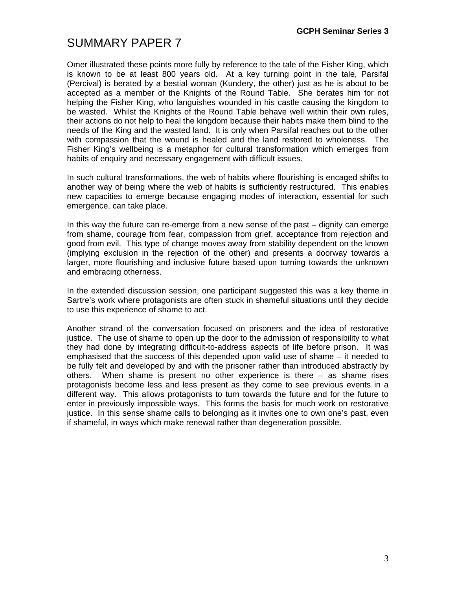Omer illustrated these points more fully by reference to the tale of the Fisher King, which is known to be at least 800 years old. At a key turning point in the tale, Parsifal (Percival) is berated by a bestial woman (Kundery, the other) just as he is about to be accepted as a member of the Knights of the Round Table. She berates him for not helping the Fisher King, who languishes wounded in his castle causing the kingdom to be wasted. Whilst the Knights of the Round Table behave well within their own rules, their actions do not help to heal the kingdom because their habits make them blind to the needs of the King and the wasted land. It is only when Parsifal reaches out to the other with compassion that the wound is healed and the land restored to wholeness. The Fisher King's wellbeing is a metaphor for cultural transformation which emerges from habits of enquiry and necessary engagement with difficult issues.

In such cultural transformations, the web of habits where flourishing is encaged shifts to another way of being where the web of habits is sufficiently restructured. This enables new capacities to emerge because engaging modes of interaction, essential for such emergence, can take place.

In this way the future can re-emerge from a new sense of the past – dignity can emerge from shame, courage from fear, compassion from grief, acceptance from rejection and good from evil. This type of change moves away from stability dependent on the known (implying exclusion in the rejection of the other) and presents a doorway towards a larger, more flourishing and inclusive future based upon turning towards the unknown and embracing otherness.

In the extended discussion session, one participant suggested this was a key theme in Sartre's work where protagonists are often stuck in shameful situations until they decide to use this experience of shame to act.

Another strand of the conversation focused on prisoners and the idea of restorative justice. The use of shame to open up the door to the admission of responsibility to what they had done by integrating difficult-to-address aspects of life before prison. It was emphasised that the success of this depended upon valid use of shame – it needed to be fully felt and developed by and with the prisoner rather than introduced abstractly by others. When shame is present no other experience is there – as shame rises protagonists become less and less present as they come to see previous events in a different way. This allows protagonists to turn towards the future and for the future to enter in previously impossible ways. This forms the basis for much work on restorative justice. In this sense shame calls to belonging as it invites one to own one's past, even if shameful, in ways which make renewal rather than degeneration possible.